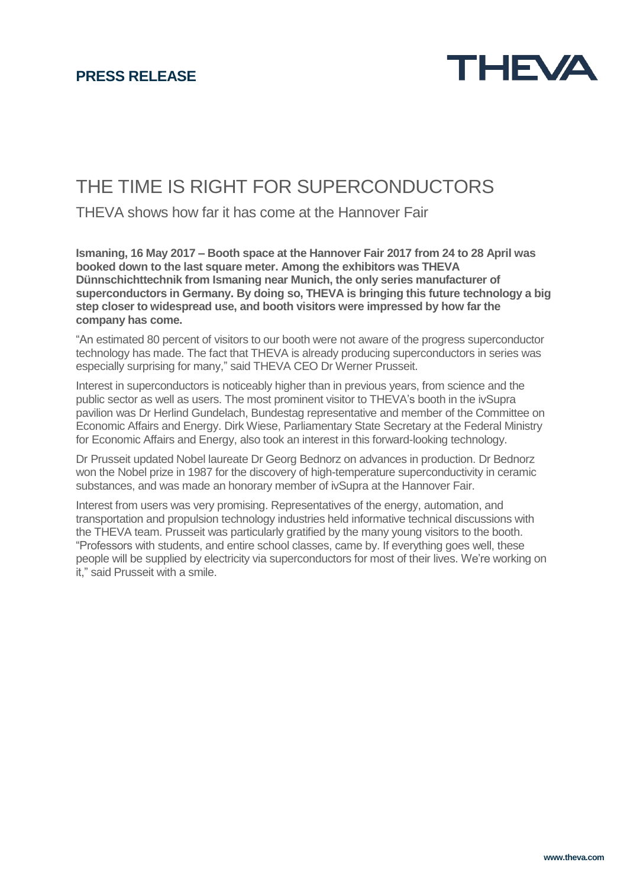

## THE TIME IS RIGHT FOR SUPERCONDUCTORS

THEVA shows how far it has come at the Hannover Fair

**Ismaning, 16 May 2017 – Booth space at the Hannover Fair 2017 from 24 to 28 April was booked down to the last square meter. Among the exhibitors was THEVA Dünnschichttechnik from Ismaning near Munich, the only series manufacturer of superconductors in Germany. By doing so, THEVA is bringing this future technology a big step closer to widespread use, and booth visitors were impressed by how far the company has come.**

"An estimated 80 percent of visitors to our booth were not aware of the progress superconductor technology has made. The fact that THEVA is already producing superconductors in series was especially surprising for many," said THEVA CEO Dr Werner Prusseit.

Interest in superconductors is noticeably higher than in previous years, from science and the public sector as well as users. The most prominent visitor to THEVA's booth in the ivSupra pavilion was Dr Herlind Gundelach, Bundestag representative and member of the Committee on Economic Affairs and Energy. Dirk Wiese, Parliamentary State Secretary at the Federal Ministry for Economic Affairs and Energy, also took an interest in this forward-looking technology.

Dr Prusseit updated Nobel laureate Dr Georg Bednorz on advances in production. Dr Bednorz won the Nobel prize in 1987 for the discovery of high-temperature superconductivity in ceramic substances, and was made an honorary member of ivSupra at the Hannover Fair.

Interest from users was very promising. Representatives of the energy, automation, and transportation and propulsion technology industries held informative technical discussions with the THEVA team. Prusseit was particularly gratified by the many young visitors to the booth. "Professors with students, and entire school classes, came by. If everything goes well, these people will be supplied by electricity via superconductors for most of their lives. We're working on it," said Prusseit with a smile.